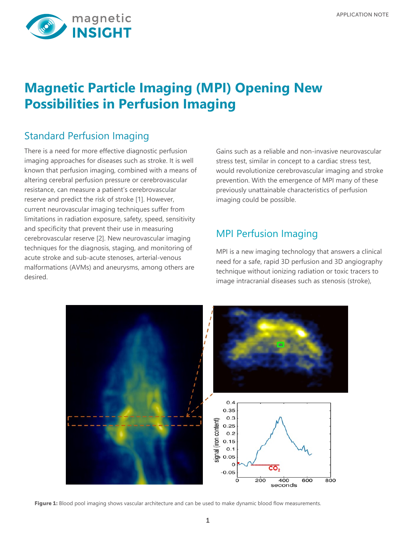

# **Magnetic Particle Imaging (MPI) Opening New Possibilities in Perfusion Imaging**

## Standard Perfusion Imaging

There is a need for more effective diagnostic perfusion imaging approaches for diseases such as stroke. It is well known that perfusion imaging, combined with a means of altering cerebral perfusion pressure or cerebrovascular resistance, can measure a patient's cerebrovascular reserve and predict the risk of stroke [1]. However, current neurovascular imaging techniques suffer from limitations in radiation exposure, safety, speed, sensitivity and specificity that prevent their use in measuring cerebrovascular reserve [2]. New neurovascular imaging techniques for the diagnosis, staging, and monitoring of acute stroke and sub-acute stenoses, arterial-venous malformations (AVMs) and aneurysms, among others are desired.

Gains such as a reliable and non-invasive neurovascular stress test, similar in concept to a cardiac stress test, would revolutionize cerebrovascular imaging and stroke prevention. With the emergence of MPI many of these previously unattainable characteristics of perfusion imaging could be possible.

## MPI Perfusion Imaging

MPI is a new imaging technology that answers a clinical need for a safe, rapid 3D perfusion and 3D angiography technique without ionizing radiation or toxic tracers to image intracranial diseases such as stenosis (stroke),



Figure 1: Blood pool imaging shows vascular architecture and can be used to make dynamic blood flow measurements.